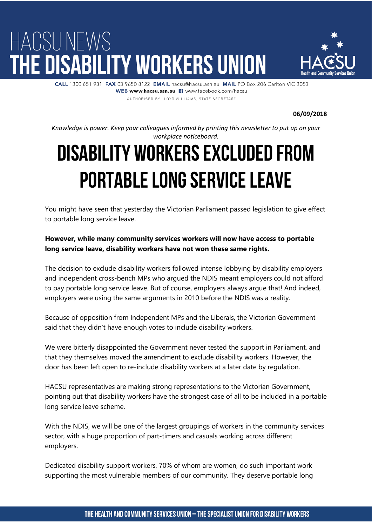## HACSU NEWS THE DISABILITY WORKERS UNION



CALL 1300 651 931 FAX 03 9650 8122 EMAIL hacsu@hacsu.asn.au MAIL PO Box 206 Carlton VIC 3053 WEB www.hacsu.asn.au | www.facebook.com/hacsu AUTHORISED BY LLOYD WILLIAMS, STATE SECRETARY

**06/09/2018**

*Knowledge is power. Keep your colleagues informed by printing this newsletter to put up on your workplace noticeboard.*

## Disability workers excluded from portable long service leave

You might have seen that yesterday the Victorian Parliament passed legislation to give effect to portable long service leave.

## **However, while many community services workers will now have access to portable long service leave, disability workers have not won these same rights.**

The decision to exclude disability workers followed intense lobbying by disability employers and independent cross-bench MPs who argued the NDIS meant employers could not afford to pay portable long service leave. But of course, employers always argue that! And indeed, employers were using the same arguments in 2010 before the NDIS was a reality.

Because of opposition from Independent MPs and the Liberals, the Victorian Government said that they didn't have enough votes to include disability workers.

We were bitterly disappointed the Government never tested the support in Parliament, and that they themselves moved the amendment to exclude disability workers. However, the door has been left open to re-include disability workers at a later date by regulation.

HACSU representatives are making strong representations to the Victorian Government, pointing out that disability workers have the strongest case of all to be included in a portable long service leave scheme.

With the NDIS, we will be one of the largest groupings of workers in the community services sector, with a huge proportion of part-timers and casuals working across different employers.

Dedicated disability support workers, 70% of whom are women, do such important work supporting the most vulnerable members of our community. They deserve portable long